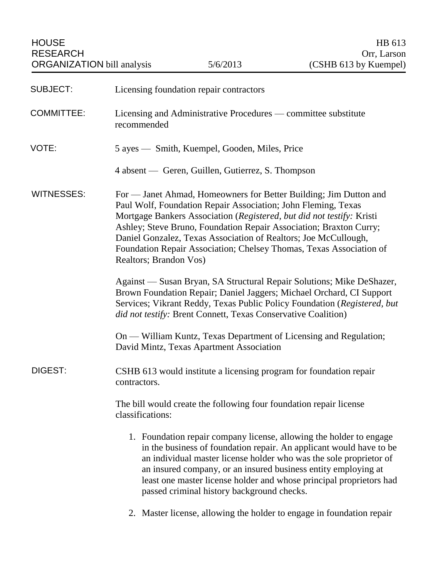HOUSE HB 613 RESEARCH Orr, Larson

| <b>SUBJECT:</b>   | Licensing foundation repair contractors                                                                                                                                                                                                                                                                                                                                                                                                               |
|-------------------|-------------------------------------------------------------------------------------------------------------------------------------------------------------------------------------------------------------------------------------------------------------------------------------------------------------------------------------------------------------------------------------------------------------------------------------------------------|
| <b>COMMITTEE:</b> | Licensing and Administrative Procedures — committee substitute<br>recommended                                                                                                                                                                                                                                                                                                                                                                         |
| VOTE:             | 5 ayes — Smith, Kuempel, Gooden, Miles, Price                                                                                                                                                                                                                                                                                                                                                                                                         |
|                   | 4 absent — Geren, Guillen, Gutierrez, S. Thompson                                                                                                                                                                                                                                                                                                                                                                                                     |
| <b>WITNESSES:</b> | For — Janet Ahmad, Homeowners for Better Building; Jim Dutton and<br>Paul Wolf, Foundation Repair Association; John Fleming, Texas<br>Mortgage Bankers Association (Registered, but did not testify: Kristi<br>Ashley; Steve Bruno, Foundation Repair Association; Braxton Curry;<br>Daniel Gonzalez, Texas Association of Realtors; Joe McCullough,<br>Foundation Repair Association; Chelsey Thomas, Texas Association of<br>Realtors; Brandon Vos) |
|                   | Against — Susan Bryan, SA Structural Repair Solutions; Mike DeShazer,<br>Brown Foundation Repair; Daniel Jaggers; Michael Orchard, CI Support<br>Services; Vikrant Reddy, Texas Public Policy Foundation (Registered, but<br>did not testify: Brent Connett, Texas Conservative Coalition)                                                                                                                                                            |
|                   | On — William Kuntz, Texas Department of Licensing and Regulation;<br>David Mintz, Texas Apartment Association                                                                                                                                                                                                                                                                                                                                         |
| DIGEST:           | CSHB 613 would institute a licensing program for foundation repair<br>contractors.                                                                                                                                                                                                                                                                                                                                                                    |
|                   | The bill would create the following four foundation repair license<br>classifications:                                                                                                                                                                                                                                                                                                                                                                |
|                   | 1. Foundation repair company license, allowing the holder to engage<br>in the business of foundation repair. An applicant would have to be<br>an individual master license holder who was the sole proprietor of<br>an insured company, or an insured business entity employing at<br>least one master license holder and whose principal proprietors had<br>passed criminal history background checks.                                               |
|                   | 2. Master license, allowing the holder to engage in foundation repair                                                                                                                                                                                                                                                                                                                                                                                 |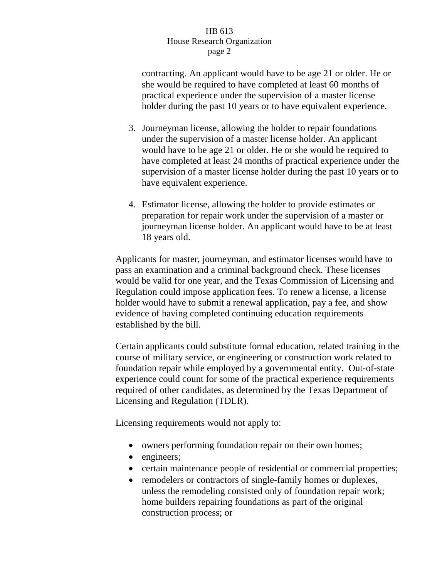contracting. An applicant would have to be age 21 or older. He or she would be required to have completed at least 60 months of practical experience under the supervision of a master license holder during the past 10 years or to have equivalent experience.

- 3. Journeyman license, allowing the holder to repair foundations under the supervision of a master license holder. An applicant would have to be age 21 or older. He or she would be required to have completed at least 24 months of practical experience under the supervision of a master license holder during the past 10 years or to have equivalent experience.
- 4. Estimator license, allowing the holder to provide estimates or preparation for repair work under the supervision of a master or journeyman license holder. An applicant would have to be at least 18 years old.

Applicants for master, journeyman, and estimator licenses would have to pass an examination and a criminal background check. These licenses would be valid for one year, and the Texas Commission of Licensing and Regulation could impose application fees. To renew a license, a license holder would have to submit a renewal application, pay a fee, and show evidence of having completed continuing education requirements established by the bill.

Certain applicants could substitute formal education, related training in the course of military service, or engineering or construction work related to foundation repair while employed by a governmental entity. Out-of-state experience could count for some of the practical experience requirements required of other candidates, as determined by the Texas Department of Licensing and Regulation (TDLR).

Licensing requirements would not apply to:

- owners performing foundation repair on their own homes;
- engineers;
- certain maintenance people of residential or commercial properties;
- remodelers or contractors of single-family homes or duplexes, unless the remodeling consisted only of foundation repair work; home builders repairing foundations as part of the original construction process; or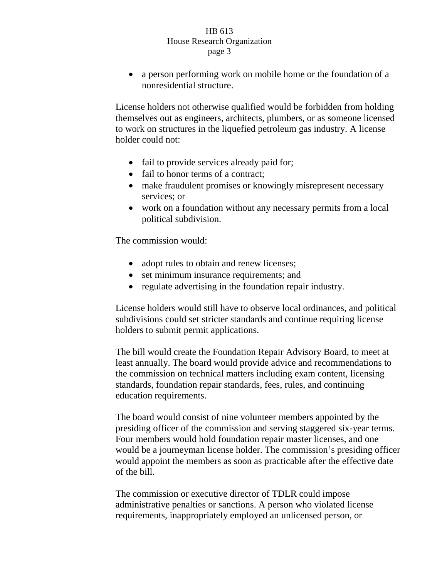• a person performing work on mobile home or the foundation of a nonresidential structure.

License holders not otherwise qualified would be forbidden from holding themselves out as engineers, architects, plumbers, or as someone licensed to work on structures in the liquefied petroleum gas industry. A license holder could not:

- fail to provide services already paid for;
- fail to honor terms of a contract:
- make fraudulent promises or knowingly misrepresent necessary services; or
- work on a foundation without any necessary permits from a local political subdivision.

The commission would:

- adopt rules to obtain and renew licenses;
- set minimum insurance requirements; and
- regulate advertising in the foundation repair industry.

License holders would still have to observe local ordinances, and political subdivisions could set stricter standards and continue requiring license holders to submit permit applications.

The bill would create the Foundation Repair Advisory Board, to meet at least annually. The board would provide advice and recommendations to the commission on technical matters including exam content, licensing standards, foundation repair standards, fees, rules, and continuing education requirements.

The board would consist of nine volunteer members appointed by the presiding officer of the commission and serving staggered six-year terms. Four members would hold foundation repair master licenses, and one would be a journeyman license holder. The commission's presiding officer would appoint the members as soon as practicable after the effective date of the bill.

The commission or executive director of TDLR could impose administrative penalties or sanctions. A person who violated license requirements, inappropriately employed an unlicensed person, or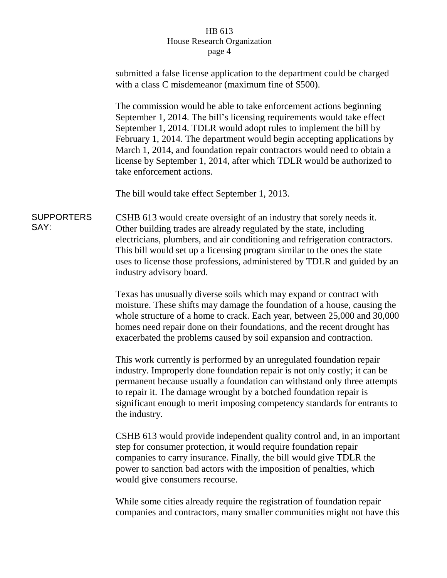|                           | submitted a false license application to the department could be charged<br>with a class C misdemeanor (maximum fine of \$500).                                                                                                                                                                                                                                                                                                                                               |
|---------------------------|-------------------------------------------------------------------------------------------------------------------------------------------------------------------------------------------------------------------------------------------------------------------------------------------------------------------------------------------------------------------------------------------------------------------------------------------------------------------------------|
|                           | The commission would be able to take enforcement actions beginning<br>September 1, 2014. The bill's licensing requirements would take effect<br>September 1, 2014. TDLR would adopt rules to implement the bill by<br>February 1, 2014. The department would begin accepting applications by<br>March 1, 2014, and foundation repair contractors would need to obtain a<br>license by September 1, 2014, after which TDLR would be authorized to<br>take enforcement actions. |
|                           | The bill would take effect September 1, 2013.                                                                                                                                                                                                                                                                                                                                                                                                                                 |
| <b>SUPPORTERS</b><br>SAY: | CSHB 613 would create oversight of an industry that sorely needs it.<br>Other building trades are already regulated by the state, including<br>electricians, plumbers, and air conditioning and refrigeration contractors.<br>This bill would set up a licensing program similar to the ones the state<br>uses to license those professions, administered by TDLR and guided by an<br>industry advisory board.                                                                |
|                           | Texas has unusually diverse soils which may expand or contract with<br>moisture. These shifts may damage the foundation of a house, causing the<br>whole structure of a home to crack. Each year, between 25,000 and 30,000<br>homes need repair done on their foundations, and the recent drought has<br>exacerbated the problems caused by soil expansion and contraction.                                                                                                  |
|                           | This work currently is performed by an unregulated foundation repair<br>industry. Improperly done foundation repair is not only costly; it can be<br>permanent because usually a foundation can withstand only three attempts<br>to repair it. The damage wrought by a botched foundation repair is<br>significant enough to merit imposing competency standards for entrants to<br>the industry.                                                                             |
|                           | CSHB 613 would provide independent quality control and, in an important<br>step for consumer protection, it would require foundation repair<br>companies to carry insurance. Finally, the bill would give TDLR the<br>power to sanction bad actors with the imposition of penalties, which<br>would give consumers recourse.                                                                                                                                                  |
|                           | While some cities already require the registration of foundation repair<br>companies and contractors, many smaller communities might not have this                                                                                                                                                                                                                                                                                                                            |